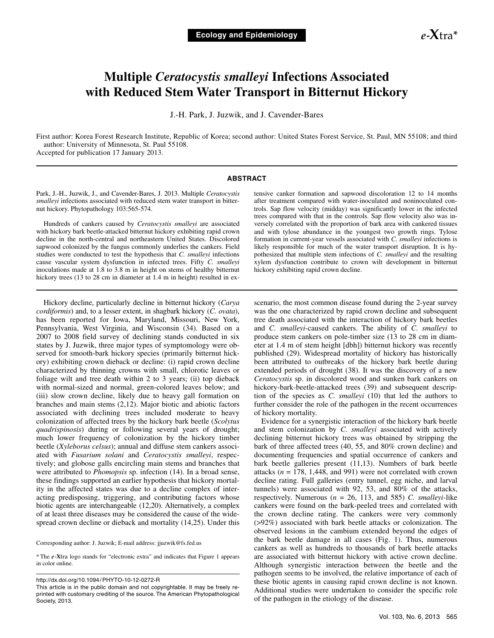# **Multiple** *Ceratocystis smalleyi* **Infections Associated with Reduced Stem Water Transport in Bitternut Hickory**

J.-H. Park, J. Juzwik, and J. Cavender-Bares

First author: Korea Forest Research Institute, Republic of Korea; second author: United States Forest Service, St. Paul, MN 55108; and third author: University of Minnesota, St. Paul 55108.

Accepted for publication 17 January 2013.

## **ABSTRACT**

Park, J.-H., Juzwik, J., and Cavender-Bares, J. 2013. Multiple *Ceratocystis smalleyi* infections associated with reduced stem water transport in bitternut hickory. Phytopathology 103:565-574.

Hundreds of cankers caused by *Ceratocystis smalleyi* are associated with hickory bark beetle-attacked bitternut hickory exhibiting rapid crown decline in the north-central and northeastern United States. Discolored sapwood colonized by the fungus commonly underlies the cankers. Field studies were conducted to test the hypothesis that *C. smalleyi* infections cause vascular system dysfunction in infected trees. Fifty *C. smalleyi* inoculations made at 1.8 to 3.8 m in height on stems of healthy bitternut hickory trees (13 to 28 cm in diameter at 1.4 m in height) resulted in ex-

Hickory decline, particularly decline in bitternut hickory (*Carya cordiformis*) and, to a lesser extent, in shagbark hickory (*C. ovata*), has been reported for Iowa, Maryland, Missouri, New York, Pennsylvania, West Virginia, and Wisconsin (34). Based on a 2007 to 2008 field survey of declining stands conducted in six states by J. Juzwik, three major types of symptomology were observed for smooth-bark hickory species (primarily bitternut hickory) exhibiting crown dieback or decline: (i) rapid crown decline characterized by thinning crowns with small, chlorotic leaves or foliage wilt and tree death within 2 to 3 years; (ii) top dieback with normal-sized and normal, green-colored leaves below; and (iii) slow crown decline, likely due to heavy gall formation on branches and main stems (2,12). Major biotic and abiotic factors associated with declining trees included moderate to heavy colonization of affected trees by the hickory bark beetle (*Scolytus quadrispinosis*) during or following several years of drought; much lower frequency of colonization by the hickory timber beetle (*Xyleborus celsus*); annual and diffuse stem cankers associated with *Fusarium solani* and *Ceratocystis smalleyi*, respectively; and globose galls encircling main stems and branches that were attributed to *Phomopsis* sp. infection (14). In a broad sense, these findings supported an earlier hypothesis that hickory mortality in the affected states was due to a decline complex of interacting predisposing, triggering, and contributing factors whose biotic agents are interchangeable (12,20). Alternatively, a complex of at least three diseases may be considered the cause of the widespread crown decline or dieback and mortality (14,25). Under this

Corresponding author: J. Juzwik; E-mail address: jjuzwik@fs.fed.us

\* The *e*-**X**tra logo stands for "electronic extra" and indicates that Figure 1 appears in color online.

http://dx.doi.org/10.1094/ PHYTO-10-12-0272-R

tensive canker formation and sapwood discoloration 12 to 14 months after treatment compared with water-inoculated and noninoculated controls. Sap flow velocity (midday) was significantly lower in the infected trees compared with that in the controls. Sap flow velocity also was inversely correlated with the proportion of bark area with cankered tissues and with tylose abundance in the youngest two growth rings. Tylose formation in current-year vessels associated with *C. smalleyi* infections is likely responsible for much of the water transport disruption. It is hypothesized that multiple stem infections of *C. smalleyi* and the resulting xylem dysfunction contribute to crown wilt development in bitternut hickory exhibiting rapid crown decline.

scenario, the most common disease found during the 2-year survey was the one characterized by rapid crown decline and subsequent tree death associated with the interaction of hickory bark beetles and *C. smalleyi*-caused cankers. The ability of *C. smalleyi* to produce stem cankers on pole-timber size (13 to 28 cm in diameter at 1.4 m of stem height [dbh]) bitternut hickory was recently published (29). Widespread mortality of hickory has historically been attributed to outbreaks of the hickory bark beetle during extended periods of drought (38). It was the discovery of a new *Ceratocystis* sp. in discolored wood and sunken bark cankers on hickory-bark-beetle-attacked trees (39) and subsequent description of the species as *C. smalleyi* (10) that led the authors to further consider the role of the pathogen in the recent occurrences of hickory mortality.

Evidence for a synergistic interaction of the hickory bark beetle and stem colonization by *C. smalleyi* associated with actively declining bitternut hickory trees was obtained by stripping the bark of three affected trees (40, 55, and 80% crown decline) and documenting frequencies and spatial occurrence of cankers and bark beetle galleries present (11,13). Numbers of bark beetle attacks (*n* = 178, 1,448, and 991) were not correlated with crown decline rating. Full galleries (entry tunnel, egg niche, and larval tunnels) were associated with 92, 53, and 80% of the attacks, respectively. Numerous (*n* = 26, 113, and 585) *C. smalleyi*-like cankers were found on the bark-peeled trees and correlated with the crown decline rating. The cankers were very commonly (>92%) associated with bark beetle attacks or colonization. The observed lesions in the cambium extended beyond the edges of the bark beetle damage in all cases (Fig. 1). Thus, numerous cankers as well as hundreds to thousands of bark beetle attacks are associated with bitternut hickory with active crown decline. Although synergistic interaction between the beetle and the pathogen seems to be involved, the relative importance of each of these biotic agents in causing rapid crown decline is not known. Additional studies were undertaken to consider the specific role of the pathogen in the etiology of the disease.

This article is in the public domain and not copyrightable. It may be freely reprinted with customary crediting of the source. The American Phytopathological Society, 2013.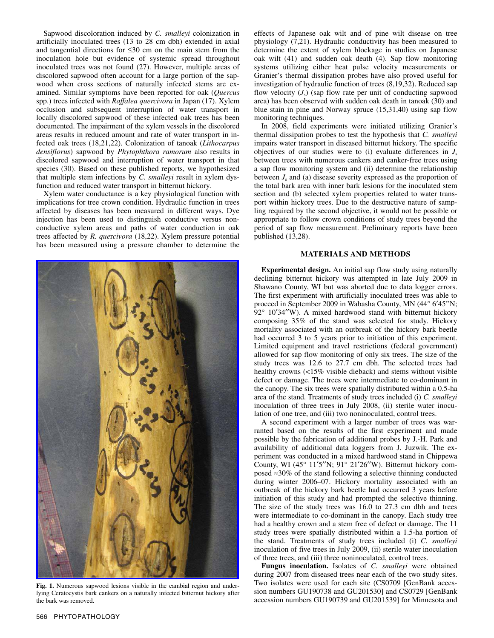Sapwood discoloration induced by *C. smalleyi* colonization in artificially inoculated trees (13 to 28 cm dbh) extended in axial and tangential directions for ≤30 cm on the main stem from the inoculation hole but evidence of systemic spread throughout inoculated trees was not found (27). However, multiple areas of discolored sapwood often account for a large portion of the sapwood when cross sections of naturally infected stems are examined. Similar symptoms have been reported for oak (*Quercus* spp.) trees infected with *Raffalea quercivora* in Japan (17). Xylem occlusion and subsequent interruption of water transport in locally discolored sapwood of these infected oak trees has been documented. The impairment of the xylem vessels in the discolored areas results in reduced amount and rate of water transport in infected oak trees (18,21,22). Colonization of tanoak (*Lithocarpus densiflorus*) sapwood by *Phytophthora ramorum* also results in discolored sapwood and interruption of water transport in that species (30). Based on these published reports, we hypothesized that multiple stem infections by *C. smalleyi* result in xylem dysfunction and reduced water transport in bitternut hickory.

Xylem water conductance is a key physiological function with implications for tree crown condition. Hydraulic function in trees affected by diseases has been measured in different ways. Dye injection has been used to distinguish conductive versus nonconductive xylem areas and paths of water conduction in oak trees affected by *R. que*r*civora* (18,22). Xylem pressure potential has been measured using a pressure chamber to determine the



**Fig. 1.** Numerous sapwood lesions visible in the cambial region and underlying Ceratocystis bark cankers on a naturally infected bitternut hickory after the bark was removed.

effects of Japanese oak wilt and of pine wilt disease on tree physiology (7,21). Hydraulic conductivity has been measured to determine the extent of xylem blockage in studies on Japanese oak wilt (41) and sudden oak death (4). Sap flow monitoring systems utilizing either heat pulse velocity measurements or Granier's thermal dissipation probes have also proved useful for investigation of hydraulic function of trees (8,19,32). Reduced sap flow velocity  $(J_s)$  (sap flow rate per unit of conducting sapwood area) has been observed with sudden oak death in tanoak (30) and blue stain in pine and Norway spruce (15,31,40) using sap flow monitoring techniques.

In 2008, field experiments were initiated utilizing Granier's thermal dissipation probes to test the hypothesis that *C. smalleyi* impairs water transport in diseased bitternut hickory. The specific objectives of our studies were to (i) evaluate differences in  $J_s$ between trees with numerous cankers and canker-free trees using a sap flow monitoring system and (ii) determine the relationship between  $J_s$  and (a) disease severity expressed as the proportion of the total bark area with inner bark lesions for the inoculated stem section and (b) selected xylem properties related to water transport within hickory trees. Due to the destructive nature of sampling required by the second objective, it would not be possible or appropriate to follow crown conditions of study trees beyond the period of sap flow measurement. Preliminary reports have been published (13,28).

# **MATERIALS AND METHODS**

**Experimental design.** An initial sap flow study using naturally declining bitternut hickory was attempted in late July 2009 in Shawano County, WI but was aborted due to data logger errors. The first experiment with artificially inoculated trees was able to proceed in September 2009 in Wabasha County, MN (44° 6′45′′N; 92° 10′34″W). A mixed hardwood stand with bitternut hickory composing 35% of the stand was selected for study. Hickory mortality associated with an outbreak of the hickory bark beetle had occurred 3 to 5 years prior to initiation of this experiment. Limited equipment and travel restrictions (federal government) allowed for sap flow monitoring of only six trees. The size of the study trees was 12.6 to 27.7 cm dbh. The selected trees had healthy crowns (<15% visible dieback) and stems without visible defect or damage. The trees were intermediate to co-dominant in the canopy. The six trees were spatially distributed within a 0.5-ha area of the stand. Treatments of study trees included (i) *C. smalleyi* inoculation of three trees in July 2008, (ii) sterile water inoculation of one tree, and (iii) two noninoculated, control trees.

A second experiment with a larger number of trees was warranted based on the results of the first experiment and made possible by the fabrication of additional probes by J.-H. Park and availability of additional data loggers from J. Juzwik. The experiment was conducted in a mixed hardwood stand in Chippewa County, WI (45° 11′5′′N; 91° 21′26′′W). Bitternut hickory composed ≈30% of the stand following a selective thinning conducted during winter 2006–07. Hickory mortality associated with an outbreak of the hickory bark beetle had occurred 3 years before initiation of this study and had prompted the selective thinning. The size of the study trees was 16.0 to 27.3 cm dbh and trees were intermediate to co-dominant in the canopy. Each study tree had a healthy crown and a stem free of defect or damage. The 11 study trees were spatially distributed within a 1.5-ha portion of the stand. Treatments of study trees included (i) *C. smalleyi*  inoculation of five trees in July 2009, (ii) sterile water inoculation of three trees, and (iii) three noninoculated, control trees.

**Fungus inoculation.** Isolates of *C. smalleyi* were obtained during 2007 from diseased trees near each of the two study sites. Two isolates were used for each site (CS0709 [GenBank accession numbers GU190738 and GU201530] and CS0729 [GenBank accession numbers GU190739 and GU201539] for Minnesota and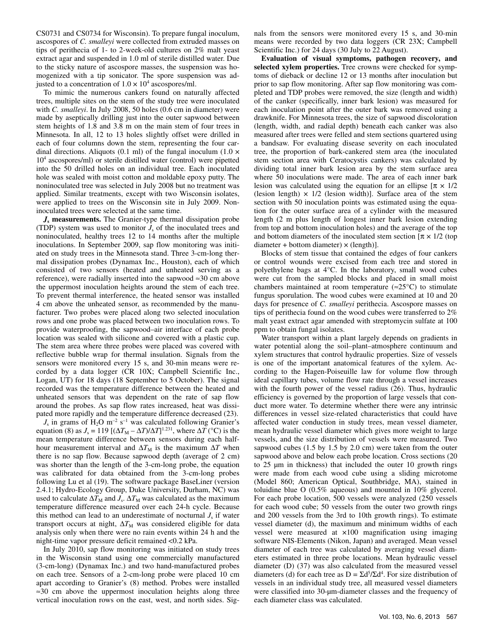CS0731 and CS0734 for Wisconsin). To prepare fungal inoculum, ascospores of *C. smalleyi* were collected from extruded masses on tips of perithecia of 1- to 2-week-old cultures on 2% malt yeast extract agar and suspended in 1.0 ml of sterile distilled water. Due to the sticky nature of ascospore masses, the suspension was homogenized with a tip sonicator. The spore suspension was adjusted to a concentration of  $1.0 \times 10^4$  ascospores/ml.

To mimic the numerous cankers found on naturally affected trees, multiple sites on the stem of the study tree were inoculated with *C. smalleyi*. In July 2008, 50 holes (0.6 cm in diameter) were made by aseptically drilling just into the outer sapwood between stem heights of 1.8 and 3.8 m on the main stem of four trees in Minnesota. In all, 12 to 13 holes slightly offset were drilled in each of four columns down the stem, representing the four cardinal directions. Aliquots (0.1 ml) of the fungal inoculum (1.0  $\times$ 104 ascospores/ml) or sterile distilled water (control) were pipetted into the 50 drilled holes on an individual tree. Each inoculated hole was sealed with moist cotton and moldable epoxy putty. The noninoculated tree was selected in July 2008 but no treatment was applied. Similar treatments, except with two Wisconsin isolates, were applied to trees on the Wisconsin site in July 2009. Noninoculated trees were selected at the same time.

*J***s measurements.** The Granier-type thermal dissipation probe (TDP) system was used to monitor  $J_s$  of the inoculated trees and noninoculated, healthy trees 12 to 14 months after the multiple inoculations. In September 2009, sap flow monitoring was initiated on study trees in the Minnesota stand. Three 3-cm-long thermal dissipation probes (Dynamax Inc., Houston), each of which consisted of two sensors (heated and unheated serving as a reference), were radially inserted into the sapwood ≈30 cm above the uppermost inoculation heights around the stem of each tree. To prevent thermal interference, the heated sensor was installed 4 cm above the unheated sensor, as recommended by the manufacturer. Two probes were placed along two selected inoculation rows and one probe was placed between two inoculation rows. To provide waterproofing, the sapwood–air interface of each probe location was sealed with silicone and covered with a plastic cup. The stem area where three probes were placed was covered with reflective bubble wrap for thermal insulation. Signals from the sensors were monitored every 15 s, and 30-min means were recorded by a data logger (CR 10X; Campbell Scientific Inc., Logan, UT) for 18 days (18 September to 5 October). The signal recorded was the temperature difference between the heated and unheated sensors that was dependent on the rate of sap flow around the probes. As sap flow rates increased, heat was dissipated more rapidly and the temperature difference decreased (23).

 $J_s$  in grams of  $H_2O$  m<sup>-2</sup> s<sup>-1</sup> was calculated following Granier's equation (8) as  $J_s = 119 \left[ (\Delta T_M - \Delta T)/\Delta T \right]^{1.231}$ , where  $\Delta T$  (°C) is the mean temperature difference between sensors during each halfhour measurement interval and  $\Delta T_M$  is the maximum  $\Delta T$  when there is no sap flow. Because sapwood depth (average of 2 cm) was shorter than the length of the 3-cm-long probe, the equation was calibrated for data obtained from the 3-cm-long probes following Lu et al (19). The software package BaseLiner (version 2.4.1; Hydro-Ecology Group, Duke University, Durham, NC) was used to calculate  $\Delta T_M$  and *J<sub>s</sub>*.  $\Delta T_M$  was calculated as the maximum temperature difference measured over each 24-h cycle. Because this method can lead to an underestimate of nocturnal  $J<sub>s</sub>$  if water transport occurs at night,  $\Delta T_M$  was considered eligible for data analysis only when there were no rain events within 24 h and the night-time vapor pressure deficit remained <0.2 kPa.

In July 2010, sap flow monitoring was initiated on study trees in the Wisconsin stand using one commercially manufactured (3-cm-long) (Dynamax Inc.) and two hand-manufactured probes on each tree. Sensors of a 2-cm-long probe were placed 10 cm apart according to Granier's (8) method. Probes were installed ≈30 cm above the uppermost inoculation heights along three vertical inoculation rows on the east, west, and north sides. Signals from the sensors were monitored every 15 s, and 30-min means were recorded by two data loggers (CR 23X; Campbell Scientific Inc.) for 24 days (30 July to 22 August).

**Evaluation of visual symptoms, pathogen recovery, and selected xylem properties.** Tree crowns were checked for symptoms of dieback or decline 12 or 13 months after inoculation but prior to sap flow monitoring. After sap flow monitoring was completed and TDP probes were removed, the size (length and width) of the canker (specifically, inner bark lesion) was measured for each inoculation point after the outer bark was removed using a drawknife. For Minnesota trees, the size of sapwood discoloration (length, width, and radial depth) beneath each canker was also measured after trees were felled and stem sections quartered using a bandsaw. For evaluating disease severity on each inoculated tree, the proportion of bark-cankered stem area (the inoculated stem section area with Ceratocystis cankers) was calculated by dividing total inner bark lesion area by the stem surface area where 50 inoculations were made. The area of each inner bark lesion was calculated using the equation for an ellipse  $[\pi \times 1/2]$ (lesion length)  $\times$  1/2 (lesion width)]. Surface area of the stem section with 50 inoculation points was estimated using the equation for the outer surface area of a cylinder with the measured length (2 m plus length of longest inner bark lesion extending from top and bottom inoculation holes) and the average of the top and bottom diameters of the inoculated stem section  $[\pi \times 1/2]$  (top  $diameter + bottom diameter) \times (length)$ ].

Blocks of stem tissue that contained the edges of four cankers or control wounds were excised from each tree and stored in polyethylene bags at 4°C. In the laboratory, small wood cubes were cut from the sampled blocks and placed in small moist chambers maintained at room temperature ( $\approx$ 25°C) to stimulate fungus sporulation. The wood cubes were examined at 10 and 20 days for presence of *C. smalleyi* perithecia. Ascospore masses on tips of perithecia found on the wood cubes were transferred to 2% malt yeast extract agar amended with streptomycin sulfate at 100 ppm to obtain fungal isolates.

Water transport within a plant largely depends on gradients in water potential along the soil–plant–atmosphere continuum and xylem structures that control hydraulic properties. Size of vessels is one of the important anatomical features of the xylem. According to the Hagen-Poiseuille law for volume flow through ideal capillary tubes, volume flow rate through a vessel increases with the fourth power of the vessel radius (26). Thus, hydraulic efficiency is governed by the proportion of large vessels that conduct more water. To determine whether there were any intrinsic differences in vessel size-related characteristics that could have affected water conduction in study trees, mean vessel diameter, mean hydraulic vessel diameter which gives more weight to large vessels, and the size distribution of vessels were measured. Two sapwood cubes (1.5 by 1.5 by 2.0 cm) were taken from the outer sapwood above and below each probe location. Cross sections (20 to 25 µm in thickness) that included the outer 10 growth rings were made from each wood cube using a sliding microtome (Model 860; American Optical, Southbridge, MA), stained in toluidine blue O (0.5% aqueous) and mounted in 10% glycerol. For each probe location, 500 vessels were analyzed (250 vessels for each wood cube; 50 vessels from the outer two growth rings and 200 vessels from the 3rd to 10th growth rings). To estimate vessel diameter (d), the maximum and minimum widths of each vessel were measured at ×100 magnification using imaging software NIS-Elements (Nikon, Japan) and averaged. Mean vessel diameter of each tree was calculated by averaging vessel diameters estimated in three probe locations. Mean hydraulic vessel diameter (D) (37) was also calculated from the measured vessel diameters (d) for each tree as  $D = \Sigma d^5 / \Sigma d^4$ . For size distribution of vessels in an individual study tree, all measured vessel diameters were classified into 30-µm-diameter classes and the frequency of each diameter class was calculated.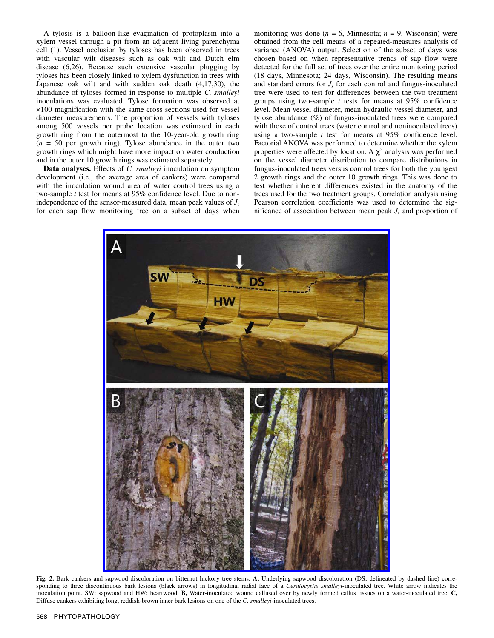A tylosis is a balloon-like evagination of protoplasm into a xylem vessel through a pit from an adjacent living parenchyma cell (1). Vessel occlusion by tyloses has been observed in trees with vascular wilt diseases such as oak wilt and Dutch elm disease (6,26). Because such extensive vascular plugging by tyloses has been closely linked to xylem dysfunction in trees with Japanese oak wilt and with sudden oak death (4,17,30), the abundance of tyloses formed in response to multiple *C. smalleyi* inoculations was evaluated. Tylose formation was observed at ×100 magnification with the same cross sections used for vessel diameter measurements. The proportion of vessels with tyloses among 500 vessels per probe location was estimated in each growth ring from the outermost to the 10-year-old growth ring  $(n = 50$  per growth ring). Tylose abundance in the outer two growth rings which might have more impact on water conduction and in the outer 10 growth rings was estimated separately.

**Data analyses.** Effects of *C. smalleyi* inoculation on symptom development (i.e., the average area of cankers) were compared with the inoculation wound area of water control trees using a two-sample *t* test for means at 95% confidence level. Due to nonindependence of the sensor-measured data, mean peak values of  $J<sub>s</sub>$ for each sap flow monitoring tree on a subset of days when monitoring was done ( $n = 6$ , Minnesota;  $n = 9$ , Wisconsin) were obtained from the cell means of a repeated-measures analysis of variance (ANOVA) output. Selection of the subset of days was chosen based on when representative trends of sap flow were detected for the full set of trees over the entire monitoring period (18 days, Minnesota; 24 days, Wisconsin). The resulting means and standard errors for  $J_s$  for each control and fungus-inoculated tree were used to test for differences between the two treatment groups using two-sample *t* tests for means at 95% confidence level. Mean vessel diameter, mean hydraulic vessel diameter, and tylose abundance (%) of fungus-inoculated trees were compared with those of control trees (water control and noninoculated trees) using a two-sample *t* test for means at 95% confidence level. Factorial ANOVA was performed to determine whether the xylem properties were affected by location. A  $\chi^2$  analysis was performed on the vessel diameter distribution to compare distributions in fungus-inoculated trees versus control trees for both the youngest 2 growth rings and the outer 10 growth rings. This was done to test whether inherent differences existed in the anatomy of the trees used for the two treatment groups. Correlation analysis using Pearson correlation coefficients was used to determine the significance of association between mean peak  $J_s$  and proportion of



**Fig. 2.** Bark cankers and sapwood discoloration on bitternut hickory tree stems. **A,** Underlying sapwood discoloration (DS; delineated by dashed line) corresponding to three discontinuous bark lesions (black arrows) in longitudinal radial face of a *Ceratocystis smalleyi*-inoculated tree. White arrow indicates the inoculation point. SW: sapwood and HW: heartwood. **B,** Water-inoculated wound callused over by newly formed callus tissues on a water-inoculated tree. **C,**  Diffuse cankers exhibiting long, reddish-brown inner bark lesions on one of the *C. smalleyi*-inoculated trees.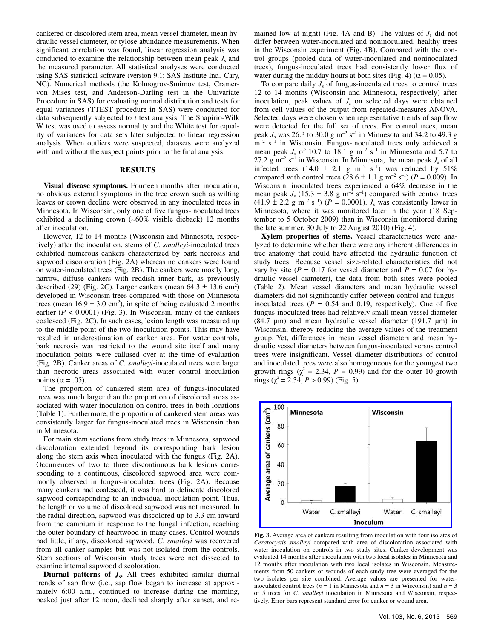cankered or discolored stem area, mean vessel diameter, mean hydraulic vessel diameter, or tylose abundance measurements. When significant correlation was found, linear regression analysis was conducted to examine the relationship between mean peak  $J_s$  and the measured parameter. All statistical analyses were conducted using SAS statistical software (version 9.1; SAS Institute Inc., Cary, NC). Numerical methods (the Kolmogrov-Smirnov test, Cramervon Mises test, and Anderson-Darling test in the Univariate Procedure in SAS) for evaluating normal distribution and tests for equal variances (TTEST procedure in SAS) were conducted for data subsequently subjected to *t* test analysis. The Shapirio-Wilk W test was used to assess normality and the White test for equality of variances for data sets later subjected to linear regression analysis. When outliers were suspected, datasets were analyzed with and without the suspect points prior to the final analysis.

### **RESULTS**

**Visual disease symptoms.** Fourteen months after inoculation, no obvious external symptoms in the tree crown such as wilting leaves or crown decline were observed in any inoculated trees in Minnesota. In Wisconsin, only one of five fungus-inoculated trees exhibited a declining crown ( $\approx 60\%$  visible dieback) 12 months after inoculation.

However, 12 to 14 months (Wisconsin and Minnesota, respectively) after the inoculation, stems of *C. smalleyi*-inoculated trees exhibited numerous cankers characterized by bark necrosis and sapwood discoloration (Fig. 2A) whereas no cankers were found on water-inoculated trees (Fig. 2B). The cankers were mostly long, narrow, diffuse cankers with reddish inner bark, as previously described (29) (Fig. 2C). Larger cankers (mean  $64.3 \pm 13.6 \text{ cm}^2$ ) developed in Wisconsin trees compared with those on Minnesota trees (mean  $16.9 \pm 3.0 \text{ cm}^2$ ), in spite of being evaluated 2 months earlier ( $P < 0.0001$ ) (Fig. 3). In Wisconsin, many of the cankers coalesced (Fig. 2C). In such cases, lesion length was measured up to the middle point of the two inoculation points. This may have resulted in underestimation of canker area. For water controls, bark necrosis was restricted to the wound site itself and many inoculation points were callused over at the time of evaluation (Fig. 2B). Canker areas of *C. smalleyi*-inoculated trees were larger than necrotic areas associated with water control inoculation points ( $\alpha$  = .05).

The proportion of cankered stem area of fungus-inoculated trees was much larger than the proportion of discolored areas associated with water inoculation on control trees in both locations (Table 1). Furthermore, the proportion of cankered stem areas was consistently larger for fungus-inoculated trees in Wisconsin than in Minnesota.

For main stem sections from study trees in Minnesota, sapwood discoloration extended beyond its corresponding bark lesion along the stem axis when inoculated with the fungus (Fig. 2A). Occurrences of two to three discontinuous bark lesions corresponding to a continuous, discolored sapwood area were commonly observed in fungus-inoculated trees (Fig. 2A). Because many cankers had coalesced, it was hard to delineate discolored sapwood corresponding to an individual inoculation point. Thus, the length or volume of discolored sapwood was not measured. In the radial direction, sapwood was discolored up to 3.3 cm inward from the cambium in response to the fungal infection, reaching the outer boundary of heartwood in many cases. Control wounds had little, if any, discolored sapwood. *C. smalleyi* was recovered from all canker samples but was not isolated from the controls. Stem sections of Wisconsin study trees were not dissected to examine internal sapwood discoloration.

**Diurnal patterns of** *J***s.** All trees exhibited similar diurnal trends of sap flow (i.e., sap flow began to increase at approximately 6:00 a.m., continued to increase during the morning, peaked just after 12 noon, declined sharply after sunset, and remained low at night) (Fig. 4A and B). The values of  $J_s$  did not differ between water-inoculated and noninoculated, healthy trees in the Wisconsin experiment (Fig. 4B). Compared with the control groups (pooled data of water-inoculated and noninoculated trees), fungus-inoculated trees had consistently lower flux of water during the midday hours at both sites (Fig. 4) ( $\alpha$  = 0.05).

To compare daily  $J_s$  of fungus-inoculated trees to control trees 12 to 14 months (Wisconsin and Minnesota, respectively) after inoculation, peak values of  $J<sub>s</sub>$  on selected days were obtained from cell values of the output from repeated-measures ANOVA. Selected days were chosen when representative trends of sap flow were detected for the full set of trees. For control trees, mean peak  $J_s$  was 26.3 to 30.0 g m<sup>-2</sup> s<sup>-1</sup> in Minnesota and 34.2 to 49.3 g  $m^{-2}$  s<sup>-1</sup> in Wisconsin. Fungus-inoculated trees only achieved a mean peak  $J_s$  of 10.7 to 18.1 g m<sup>-2</sup> s<sup>-1</sup> in Minnesota and 5.7 to 27.2 g m<sup>-2</sup> s<sup>-1</sup> in Wisconsin. In Minnesota, the mean peak  $J_s$  of all infected trees (14.0  $\pm$  2.1 g m<sup>-2</sup> s<sup>-1</sup>) was reduced by 51% compared with control trees  $(28.6 \pm 1.1 \text{ g m}^{-2} \text{ s}^{-1})$  ( $P = 0.009$ ). In Wisconsin, inoculated trees experienced a 64% decrease in the mean peak  $J_s$  (15.3  $\pm$  3.8 g m<sup>-2</sup> s<sup>-1</sup>) compared with control trees  $(41.9 \pm 2.2 \text{ g m}^{-2} \text{ s}^{-1})$  ( $P = 0.0001$ ).  $J_s$  was consistently lower in Minnesota, where it was monitored later in the year (18 September to 5 October 2009) than in Wisconsin (monitored during the late summer, 30 July to 22 August 2010) (Fig. 4).

**Xylem properties of stems.** Vessel characteristics were analyzed to determine whether there were any inherent differences in tree anatomy that could have affected the hydraulic function of study trees. Because vessel size-related characteristics did not vary by site ( $P = 0.17$  for vessel diameter and  $P = 0.07$  for hydraulic vessel diameter), the data from both sites were pooled (Table 2). Mean vessel diameters and mean hydraulic vessel diameters did not significantly differ between control and fungusinoculated trees  $(P = 0.54$  and 0.19, respectively). One of five fungus-inoculated trees had relatively small mean vessel diameter (84.7  $\mu$ m) and mean hydraulic vessel diameter (191.7  $\mu$ m) in Wisconsin, thereby reducing the average values of the treatment group. Yet, differences in mean vessel diameters and mean hydraulic vessel diameters between fungus-inoculated versus control trees were insignificant. Vessel diameter distributions of control and inoculated trees were also homogeneous for the youngest two growth rings  $(\chi^2 = 2.34, P = 0.99)$  and for the outer 10 growth rings ( $\chi^2$  = 2.34, *P* > 0.99) (Fig. 5).



**Fig. 3.** Average area of cankers resulting from inoculation with four isolates of *Ceratocystis smalleyi* compared with area of discoloration associated with water inoculation on controls in two study sites. Canker development was evaluated 14 months after inoculation with two local isolates in Minnesota and 12 months after inoculation with two local isolates in Wisconsin. Measurements from 50 cankers or wounds of each study tree were averaged for the two isolates per site combined. Average values are presented for waterinoculated control trees ( $n = 1$  in Minnesota and  $n = 3$  in Wisconsin) and  $n = 3$ or 5 trees for *C. smalleyi* inoculation in Minnesota and Wisconsin, respectively. Error bars represent standard error for canker or wound area.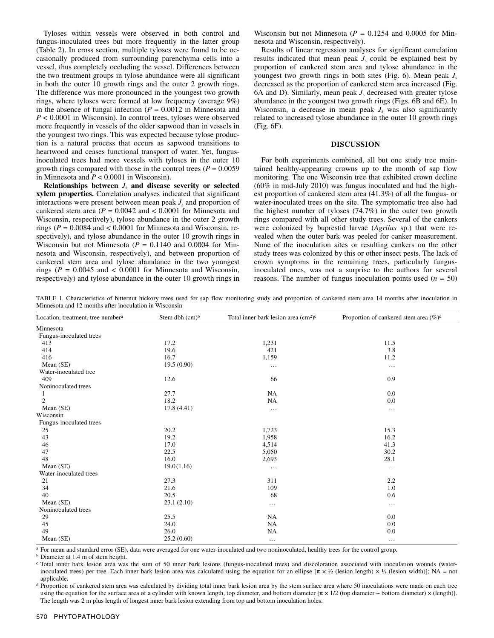Tyloses within vessels were observed in both control and fungus-inoculated trees but more frequently in the latter group (Table 2). In cross section, multiple tyloses were found to be occasionally produced from surrounding parenchyma cells into a vessel, thus completely occluding the vessel. Differences between the two treatment groups in tylose abundance were all significant in both the outer 10 growth rings and the outer 2 growth rings. The difference was more pronounced in the youngest two growth rings, where tyloses were formed at low frequency (average 9%) in the absence of fungal infection  $(P = 0.0012$  in Minnesota and *P* < 0.0001 in Wisconsin). In control trees, tyloses were observed more frequently in vessels of the older sapwood than in vessels in the youngest two rings. This was expected because tylose production is a natural process that occurs as sapwood transitions to heartwood and ceases functional transport of water. Yet, fungusinoculated trees had more vessels with tyloses in the outer 10 growth rings compared with those in the control trees  $(P = 0.0059)$ in Minnesota and *P* < 0.0001 in Wisconsin).

**Relationships between** *J*s **and disease severity or selected xylem properties.** Correlation analyses indicated that significant interactions were present between mean peak  $J_s$  and proportion of cankered stem area ( $P = 0.0042$  and  $< 0.0001$  for Minnesota and Wisconsin, respectively), tylose abundance in the outer 2 growth rings ( $P = 0.0084$  and  $< 0.0001$  for Minnesota and Wisconsin, respectively), and tylose abundance in the outer 10 growth rings in Wisconsin but not Minnesota  $(P = 0.1140$  and 0.0004 for Minnesota and Wisconsin, respectively), and between proportion of cankered stem area and tylose abundance in the two youngest rings ( $P = 0.0045$  and  $\lt 0.0001$  for Minnesota and Wisconsin, respectively) and tylose abundance in the outer 10 growth rings in

Wisconsin but not Minnesota  $(P = 0.1254$  and 0.0005 for Minnesota and Wisconsin, respectively).

Results of linear regression analyses for significant correlation results indicated that mean peak  $J<sub>s</sub>$  could be explained best by proportion of cankered stem area and tylose abundance in the youngest two growth rings in both sites (Fig. 6). Mean peak *J*<sup>s</sup> decreased as the proportion of cankered stem area increased (Fig. 6A and D). Similarly, mean peak  $J_s$  decreased with greater tylose abundance in the youngest two growth rings (Figs. 6B and 6E). In Wisconsin, a decrease in mean peak  $J<sub>s</sub>$  was also significantly related to increased tylose abundance in the outer 10 growth rings (Fig. 6F).

#### **DISCUSSION**

For both experiments combined, all but one study tree maintained healthy-appearing crowns up to the month of sap flow monitoring. The one Wisconsin tree that exhibited crown decline (60% in mid-July 2010) was fungus inoculated and had the highest proportion of cankered stem area (41.3%) of all the fungus- or water-inoculated trees on the site. The symptomatic tree also had the highest number of tyloses (74.7%) in the outer two growth rings compared with all other study trees. Several of the cankers were colonized by buprestid larvae (*Agrilus* sp.) that were revealed when the outer bark was peeled for canker measurement. None of the inoculation sites or resulting cankers on the other study trees was colonized by this or other insect pests. The lack of crown symptoms in the remaining trees, particularly fungusinoculated ones, was not a surprise to the authors for several reasons. The number of fungus inoculation points used  $(n = 50)$ 

TABLE 1. Characteristics of bitternut hickory trees used for sap flow monitoring study and proportion of cankered stem area 14 months after inoculation in Minnesota and 12 months after inoculation in Wisconsin

| Location, treatment, tree number <sup>a</sup> | Stem dbh $(cm)b$ | Total inner bark lesion area $(cm2)c$ | Proportion of cankered stem area $(\%)^d$ |  |  |
|-----------------------------------------------|------------------|---------------------------------------|-------------------------------------------|--|--|
| Minnesota                                     |                  |                                       |                                           |  |  |
| Fungus-inoculated trees                       |                  |                                       |                                           |  |  |
| 413                                           | 17.2             | 1,231                                 | 11.5                                      |  |  |
| 414                                           | 19.6             | 421                                   | 3.8                                       |  |  |
| 416                                           | 16.7             | 1,159                                 | 11.2                                      |  |  |
| Mean (SE)                                     | 19.5(0.90)       | $\ldots$                              | $\ldots$                                  |  |  |
| Water-inoculated tree                         |                  |                                       |                                           |  |  |
| 409                                           | 12.6             | 66                                    | 0.9                                       |  |  |
| Noninoculated trees                           |                  |                                       |                                           |  |  |
| 1                                             | 27.7             | NA                                    | 0.0                                       |  |  |
| $\overline{c}$                                | 18.2             | NA                                    | 0.0                                       |  |  |
| Mean (SE)                                     | 17.8(4.41)       | $\cdots$                              | $\cdots$                                  |  |  |
| Wisconsin                                     |                  |                                       |                                           |  |  |
| Fungus-inoculated trees                       |                  |                                       |                                           |  |  |
| 25                                            | 20.2             | 1,723                                 | 15.3                                      |  |  |
| 43                                            | 19.2             | 1,958                                 | 16.2                                      |  |  |
| 46                                            | 17.0             | 4,514                                 | 41.3                                      |  |  |
| 47                                            | 22.5             | 5,050                                 | 30.2                                      |  |  |
| 48                                            | 16.0             | 2,693                                 | 28.1                                      |  |  |
| Mean (SE)                                     | 19.0(1.16)       | $\ddotsc$                             | $\cdots$                                  |  |  |
| Water-inoculated trees                        |                  |                                       |                                           |  |  |
| 21                                            | 27.3             | 311                                   | 2.2                                       |  |  |
| 34                                            | 21.6             | 109                                   | 1.0                                       |  |  |
| 40                                            | 20.5             | 68                                    | 0.6                                       |  |  |
| Mean (SE)                                     | 23.1(2.10)       | $\ldots$                              | $\ldots$                                  |  |  |
| Noninoculated trees                           |                  |                                       |                                           |  |  |
| 29                                            | 25.5             | NA                                    | 0.0                                       |  |  |
| 45                                            | 24.0             | NA                                    | 0.0                                       |  |  |
| 49                                            | 26.0             | NA                                    | 0.0                                       |  |  |
| Mean (SE)                                     | 25.2(0.60)       | $\cdots$                              | $\cdots$                                  |  |  |

<sup>a</sup> For mean and standard error (SE), data were averaged for one water-inoculated and two noninoculated, healthy trees for the control group.<br><sup>b</sup> Diameter at 1.4 m of stem height.

<sup>d</sup> Proportion of cankered stem area was calculated by dividing total inner bark lesion area by the stem surface area where 50 inoculations were made on each tree using the equation for the surface area of a cylinder with known length, top diameter, and bottom diameter  $[\pi \times 1/2$  (top diameter + bottom diameter)  $\times$  (length)]. The length was 2 m plus length of longest inner bark lesion extending from top and bottom inoculation holes.

c Total inner bark lesion area was the sum of 50 inner bark lesions (fungus-inoculated trees) and discoloration associated with inoculation wounds (waterinoculated trees) per tree. Each inner bark lesion area was calculated using the equation for an ellipse  $[\pi \times \frac{1}{2}$  (lesion length)  $\times \frac{1}{2}$  (lesion width)]; NA = not applicable.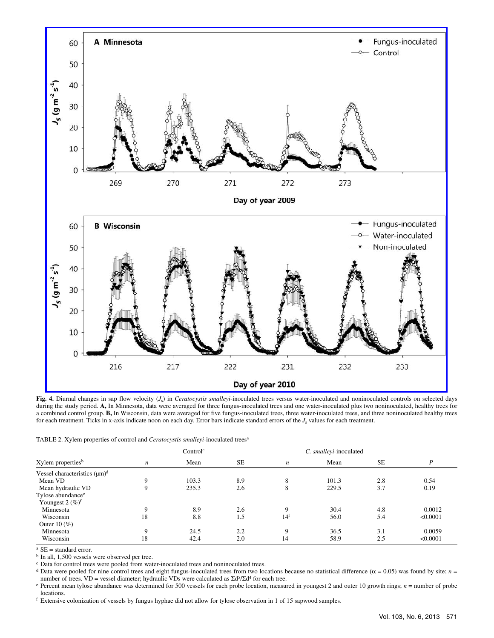![](_page_6_Figure_0.jpeg)

**Fig. 4.** Diurnal changes in sap flow velocity (*J*s) in *Ceratocystis smalleyi*-inoculated trees versus water-inoculated and noninoculated controls on selected days during the study period. A, In Minnesota, data were averaged for three fungus-inoculated trees and one water-inoculated plus two noninoculated, healthy trees for a combined control group. **B,** In Wisconsin, data were averaged for five fungus-inoculated trees, three water-inoculated trees, and three noninoculated healthy trees for each treatment. Ticks in x-axis indicate noon on each day. Error bars indicate standard errors of the  $J_s$  values for each treatment.

|  |  |  |  |  |  | TABLE 2. Xylem properties of control and <i>Ceratocystis smalleyi</i> -inoculated trees <sup>a</sup> |  |
|--|--|--|--|--|--|------------------------------------------------------------------------------------------------------|--|
|--|--|--|--|--|--|------------------------------------------------------------------------------------------------------|--|

| Xylem properties <sup>b</sup>      | Control <sup>c</sup> |       |           | C. smalleyi-inoculated |       |           |          |
|------------------------------------|----------------------|-------|-----------|------------------------|-------|-----------|----------|
|                                    | $\boldsymbol{n}$     | Mean  | <b>SE</b> | $\boldsymbol{n}$       | Mean  | <b>SE</b> | P        |
| Vessel characteristics $(\mu m)^d$ |                      |       |           |                        |       |           |          |
| Mean VD                            | Q                    | 103.3 | 8.9       | 8                      | 101.3 | 2.8       | 0.54     |
| Mean hydraulic VD                  | 9                    | 235.3 | 2.6       | 8                      | 229.5 | 3.7       | 0.19     |
| Tylose abundance <sup>e</sup>      |                      |       |           |                        |       |           |          |
| Youngest $2 \ (\%)^f$              |                      |       |           |                        |       |           |          |
| Minnesota                          | Q                    | 8.9   | 2.6       | 9                      | 30.4  | 4.8       | 0.0012   |
| Wisconsin                          | 18                   | 8.8   | 1.5       | $14^{\rm f}$           | 56.0  | 5.4       | < 0.0001 |
| Outer 10 $(\% )$                   |                      |       |           |                        |       |           |          |
| Minnesota                          | Q                    | 24.5  | 2.2       | 9                      | 36.5  | 3.1       | 0.0059   |
| Wisconsin                          | 18                   | 42.4  | 2.0       | 14                     | 58.9  | 2.5       | < 0.0001 |

 $\mathrm{^a}$  SE = standard error.

b In all, 1,500 vessels were observed per tree.

 $\textdegree$  Data for control trees were pooled from water-inoculated trees and noninoculated trees.

<sup>d</sup> Data were pooled for nine control trees and eight fungus-inoculated trees from two locations because no statistical difference ( $\alpha$  = 0.05) was found by site; *n* =

number of trees. VD = vessel diameter; hydraulic VDs were calculated as  $\Sigma d^5 / \Sigma d^4$  for each tree.<br><sup>e</sup> Percent mean tylose abundance was determined for 500 vessels for each probe location, measured in youngest 2 and out locations.

<sup>f</sup> Extensive colonization of vessels by fungus hyphae did not allow for tylose observation in 1 of 15 sapwood samples.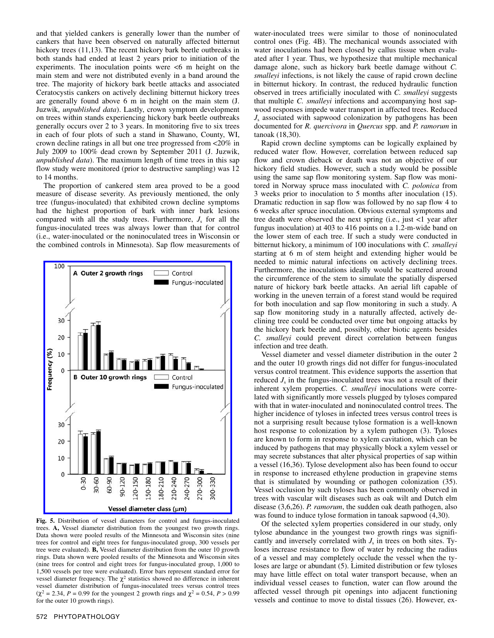and that yielded cankers is generally lower than the number of cankers that have been observed on naturally affected bitternut hickory trees (11,13). The recent hickory bark beetle outbreaks in both stands had ended at least 2 years prior to initiation of the experiments. The inoculation points were  $\leq 6$  m height on the main stem and were not distributed evenly in a band around the tree. The majority of hickory bark beetle attacks and associated Ceratocystis cankers on actively declining bitternut hickory trees are generally found above 6 m in height on the main stem (J. Juzwik, *unpublished data*). Lastly, crown symptom development on trees within stands experiencing hickory bark beetle outbreaks generally occurs over 2 to 3 years. In monitoring five to six trees in each of four plots of such a stand in Shawano, County, WI, crown decline ratings in all but one tree progressed from <20% in July 2009 to 100% dead crown by September 2011 (J. Juzwik, *unpublished data*). The maximum length of time trees in this sap flow study were monitored (prior to destructive sampling) was 12 to 14 months.

The proportion of cankered stem area proved to be a good measure of disease severity. As previously mentioned, the only tree (fungus-inoculated) that exhibited crown decline symptoms had the highest proportion of bark with inner bark lesions compared with all the study trees. Furthermore,  $J_s$  for all the fungus-inoculated trees was always lower than that for control (i.e., water-inoculated or the noninoculated trees in Wisconsin or the combined controls in Minnesota). Sap flow measurements of

![](_page_7_Figure_2.jpeg)

**Fig. 5.** Distribution of vessel diameters for control and fungus-inoculated trees. **A,** Vessel diameter distribution from the youngest two growth rings. Data shown were pooled results of the Minnesota and Wisconsin sites (nine trees for control and eight trees for fungus-inoculated group, 300 vessels per tree were evaluated). **B,** Vessel diameter distribution from the outer 10 growth rings. Data shown were pooled results of the Minnesota and Wisconsin sites (nine trees for control and eight trees for fungus-inoculated group, 1,000 to 1,500 vessels per tree were evaluated). Error bars represent standard error for vessel diameter frequency. The  $\chi^2$  statistics showed no difference in inherent vessel diameter distribution of fungus-inoculated trees versus control trees  $(χ² = 2.34, P = 0.99$  for the youngest 2 growth rings and  $χ² = 0.54, P > 0.99$ for the outer 10 growth rings).

water-inoculated trees were similar to those of noninoculated control ones (Fig. 4B). The mechanical wounds associated with water inoculations had been closed by callus tissue when evaluated after 1 year. Thus, we hypothesize that multiple mechanical damage alone, such as hickory bark beetle damage without *C. smalleyi* infections, is not likely the cause of rapid crown decline in bitternut hickory. In contrast, the reduced hydraulic function observed in trees artificially inoculated with *C. smalleyi* suggests that multiple *C. smalleyi* infections and accompanying host sapwood responses impede water transport in affected trees. Reduced *J*s associated with sapwood colonization by pathogens has been documented for *R. quercivora* in *Quercus* spp. and *P. ramorum* in tanoak (18,30).

Rapid crown decline symptoms can be logically explained by reduced water flow. However, correlation between reduced sap flow and crown dieback or death was not an objective of our hickory field studies. However, such a study would be possible using the same sap flow monitoring system. Sap flow was monitored in Norway spruce mass inoculated with *C. polonica* from 3 weeks prior to inoculation to 5 months after inoculation (15). Dramatic reduction in sap flow was followed by no sap flow 4 to 6 weeks after spruce inoculation. Obvious external symptoms and tree death were observed the next spring (i.e., just <1 year after fungus inoculation) at 403 to 416 points on a 1.2-m-wide band on the lower stem of each tree. If such a study were conducted in bitternut hickory, a minimum of 100 inoculations with *C. smalleyi* starting at 6 m of stem height and extending higher would be needed to mimic natural infections on actively declining trees. Furthermore, the inoculations ideally would be scattered around the circumference of the stem to simulate the spatially dispersed nature of hickory bark beetle attacks. An aerial lift capable of working in the uneven terrain of a forest stand would be required for both inoculation and sap flow monitoring in such a study. A sap flow monitoring study in a naturally affected, actively declining tree could be conducted over time but ongoing attacks by the hickory bark beetle and, possibly, other biotic agents besides *C. smalleyi* could prevent direct correlation between fungus infection and tree death.

Vessel diameter and vessel diameter distribution in the outer 2 and the outer 10 growth rings did not differ for fungus-inoculated versus control treatment. This evidence supports the assertion that reduced  $J_s$  in the fungus-inoculated trees was not a result of their inherent xylem properties. *C. smalleyi* inoculations were correlated with significantly more vessels plugged by tyloses compared with that in water-inoculated and noninoculated control trees. The higher incidence of tyloses in infected trees versus control trees is not a surprising result because tylose formation is a well-known host response to colonization by a xylem pathogen (3). Tyloses are known to form in response to xylem cavitation, which can be induced by pathogens that may physically block a xylem vessel or may secrete substances that alter physical properties of sap within a vessel (16,36). Tylose development also has been found to occur in response to increased ethylene production in grapevine stems that is stimulated by wounding or pathogen colonization (35). Vessel occlusion by such tyloses has been commonly observed in trees with vascular wilt diseases such as oak wilt and Dutch elm disease (3,6,26). *P. ramorum*, the sudden oak death pathogen, also was found to induce tylose formation in tanoak sapwood (4,30).

Of the selected xylem properties considered in our study, only tylose abundance in the youngest two growth rings was significantly and inversely correlated with  $J_s$  in trees on both sites. Tyloses increase resistance to flow of water by reducing the radius of a vessel and may completely occlude the vessel when the tyloses are large or abundant (5). Limited distribution or few tyloses may have little effect on total water transport because, when an individual vessel ceases to function, water can flow around the affected vessel through pit openings into adjacent functioning vessels and continue to move to distal tissues (26). However, ex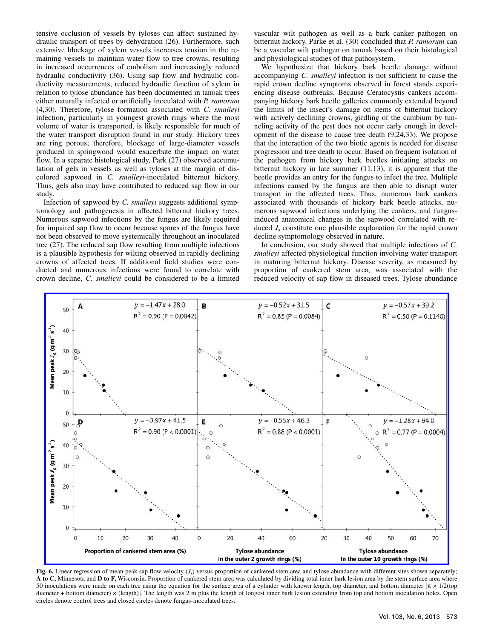tensive occlusion of vessels by tyloses can affect sustained hydraulic transport of trees by dehydration (26). Furthermore, such extensive blockage of xylem vessels increases tension in the remaining vessels to maintain water flow to tree crowns, resulting in increased occurrences of embolism and increasingly reduced hydraulic conductivity (36). Using sap flow and hydraulic conductivity measurements, reduced hydraulic function of xylem in relation to tylose abundance has been documented in tanoak trees either naturally infected or artificially inoculated with *P. ramorum*  (4,30). Therefore, tylose formation associated with *C. smalleyi* infection, particularly in youngest growth rings where the most volume of water is transported, is likely responsible for much of the water transport disruption found in our study. Hickory trees are ring porous; therefore, blockage of large-diameter vessels produced in springwood would exacerbate the impact on water flow. In a separate histological study, Park (27) observed accumulation of gels in vessels as well as tyloses at the margin of discolored sapwood in *C. smalleyi*-inoculated bitternut hickory. Thus, gels also may have contributed to reduced sap flow in our study.

Infection of sapwood by *C. smalleyi* suggests additional symptomology and pathogenesis in affected bitternut hickory trees. Numerous sapwood infections by the fungus are likely required for impaired sap flow to occur because spores of the fungus have not been observed to move systemically throughout an inoculated tree (27). The reduced sap flow resulting from multiple infections is a plausible hypothesis for wilting observed in rapidly declining crowns of affected trees. If additional field studies were conducted and numerous infections were found to correlate with crown decline, *C. smalleyi* could be considered to be a limited vascular wilt pathogen as well as a bark canker pathogen on bitternut hickory. Parke et al. (30) concluded that *P. ramorum* can be a vascular wilt pathogen on tanoak based on their histological and physiological studies of that pathosystem.

We hypothesize that hickory bark beetle damage without accompanying *C. smalleyi* infection is not sufficient to cause the rapid crown decline symptoms observed in forest stands experiencing disease outbreaks. Because Ceratocystis cankers accompanying hickory bark beetle galleries commonly extended beyond the limits of the insect's damage on stems of bitternut hickory with actively declining crowns, girdling of the cambium by tunneling activity of the pest does not occur early enough in development of the disease to cause tree death (9,24,33). We propose that the interaction of the two biotic agents is needed for disease progression and tree death to occur. Based on frequent isolation of the pathogen from hickory bark beetles initiating attacks on bitternut hickory in late summer (11,13), it is apparent that the beetle provides an entry for the fungus to infect the tree. Multiple infections caused by the fungus are then able to disrupt water transport in the affected trees. Thus, numerous bark cankers associated with thousands of hickory bark beetle attacks, numerous sapwood infections underlying the cankers, and fungusinduced anatomical changes in the sapwood correlated with reduced  $J_s$  constitute one plausible explanation for the rapid crown decline symptomology observed in nature.

In conclusion, our study showed that multiple infections of *C. smalleyi* affected physiological function involving water transport in maturing bitternut hickory. Disease severity, as measured by proportion of cankered stem area, was associated with the reduced velocity of sap flow in diseased trees. Tylose abundance

![](_page_8_Figure_5.jpeg)

Fig. 6. Linear regression of mean peak sap flow velocity  $(J_s)$  versus proportion of cankered stem area and tylose abundance with different sites shown separately; **A to C,** Minnesota and **D to F,** Wisconsin. Proportion of cankered stem area was calculated by dividing total inner bark lesion area by the stem surface area where 50 inoculations were made on each tree using the equation for the surface area of a cylinder with known length, top diameter, and bottom diameter  $[\pi \times 1/2]$  (top diameter + bottom diameter) × (length)]. The length was 2 m plus the length of longest inner bark lesion extending from top and bottom inoculation holes. Open circles denote control trees and closed circles denote fungus-inoculated trees.